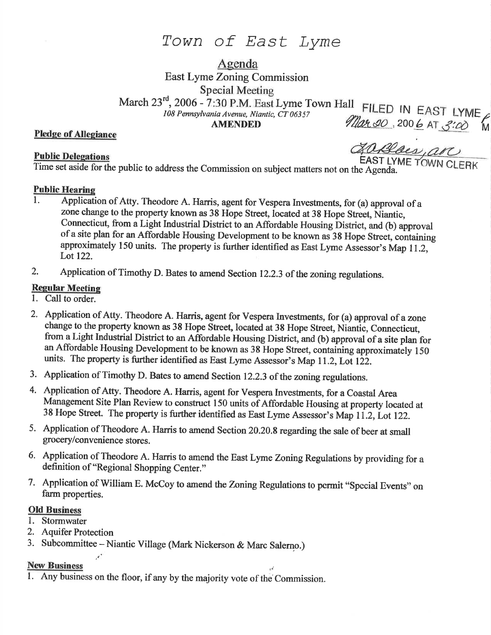# Town of East Lyme

Agenda

East Lyme Zoning Commission

March 23<sup>rd</sup>, 2006 - 7:30 P.M. East Lyme Town Hall FILED IN EAST LYME<br>
108 Pennsylvania Avenue, Niantic, CT 06357 *Mar. 30*, 200 6 AT 3:00 M

Pledge of Allesiance

## **Public Delegations**

**ZO Blacs, arc**<br>EAST LYME TOWN CLERK

Time set aside for the public to address the Commission on subject matters not on the Agenda.

### Public Hearine

- l. Application of Atty. Theodore A. Harris, agent for Vespera Investments, for (a) approval of <sup>a</sup> zone change to the property known as 38 Hope Sfieet, located at 38 Hope Street, Niantic, Connecticut, from a Light Industrial District to an Affordable Housing District, and (b) approval of a site plan for an Affordable Housing Development to be known as 38 Hope Street, coniaining approximately 150 units. The property is further identified as East Lyme Assessor's Map 11.2, Lot 122.
- 2. Application of Timothy D. Bates to amend Section 12.2.3 of the zoning regulations.

# **Regular Meeting**<br>1. Call to order.

- 
- 2. Application of Atty. Theodore A. Harris, agent for Vespera Investments, for (a) approval of a zone change to the property known as 38 Hope Street, located at 38 Hope Street, Niantic, Connecticut, froma Light Industrial District to an Affordable Housing District, and (b) approval of a site plan for an Affordable Housing Development to be known as 38 Hope Street, containing approximately <sup>150</sup> units. The property is further identified as East Lyme Assessor's Map 11.2, Lot 122.
- 3. Application of Timothy D. Bates to amend Section 12.2.3 of the zoning regulations.
- 4. Application of Atty. Theodore A. Harris, agent for Vespera Investments, for a Coastal Area Management Site Plan Review to construct 150 units of Affordable Housing at property located at 38 Hope Street. The property is further identified as East Lyme Assessor's Map 11.2, Lot 122.
- 5. Application of Theodore A. Harris to amend Section 20.20.8 regarding the sale of beer at small grocery/convenience stores.
- 6. Application of Theodore A. Harris to amend the East Lyme Zoning Regulations by providing for a definition of "Regional Shopping Center."
- 7. Application of William E. McCoy to amend the Zoning Regulations to permit "spccial Events" on farm properties.

### Old Business

- 1. Stormwater
- 2. Aquifer Protection

 $\mathcal{F}^*$ 

3. Subcommittee - Niantic Village (Mark Nickerson & Marc Salerno.)

## New Business

1. Any business on the floor, if any by the majority vote of the'commission.